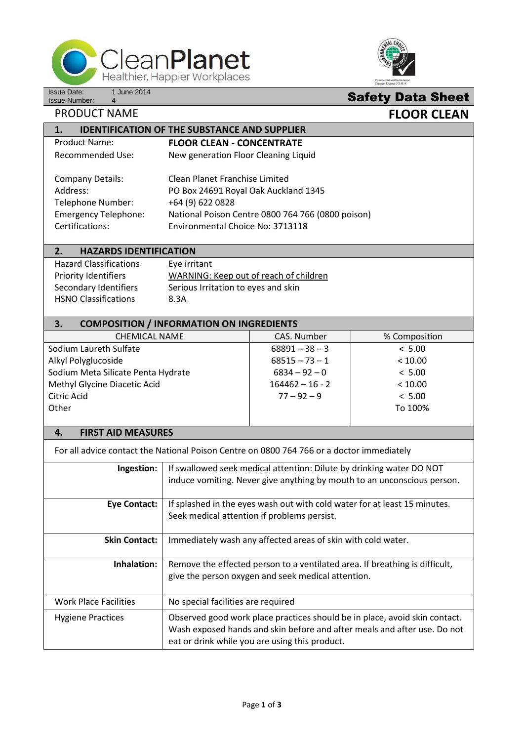



Issue Date: 1 June 2014<br>Issue Number: 4

# **Safety Data Sheet**

# **PRODUCT NAME FLOOR CLEAN**

## **1. IDENTIFICATION OF THE SUBSTANCE AND SUPPLIER**

| <b>FLOOR CLEAN - CONCENTRATE</b>                  |
|---------------------------------------------------|
| New generation Floor Cleaning Liquid              |
|                                                   |
| Clean Planet Franchise Limited                    |
| PO Box 24691 Royal Oak Auckland 1345              |
| +64 (9) 622 0828                                  |
| National Poison Centre 0800 764 766 (0800 poison) |
| Environmental Choice No: 3713118                  |
|                                                   |

#### **2. HAZARDS IDENTIFICATION**

| <b>Hazard Classifications</b> | Eye irritant                           |
|-------------------------------|----------------------------------------|
| <b>Priority Identifiers</b>   | WARNING: Keep out of reach of children |
| Secondary Identifiers         | Serious Irritation to eyes and skin    |
| <b>HSNO Classifications</b>   | 8.3A                                   |

### **3. COMPOSITION / INFORMATION ON INGREDIENTS**

| <b>CHEMICAL NAME</b>               | CAS. Number       | % Composition |
|------------------------------------|-------------------|---------------|
| Sodium Laureth Sulfate             | $68891 - 38 - 3$  | < 5.00        |
| Alkyl Polyglucoside                | $68515 - 73 - 1$  | < 10.00       |
| Sodium Meta Silicate Penta Hydrate | $6834 - 92 - 0$   | < 5.00        |
| Methyl Glycine Diacetic Acid       | $164462 - 16 - 2$ | < 10.00       |
| Citric Acid                        | $77 - 92 - 9$     | < 5.00        |
| Other                              |                   | To 100%       |
|                                    |                   |               |

#### **4. FIRST AID MEASURES**

For all advice contact the National Poison Centre on 0800 764 766 or a doctor immediately

| Ingestion:                   | If swallowed seek medical attention: Dilute by drinking water DO NOT<br>induce vomiting. Never give anything by mouth to an unconscious person.                                                          |
|------------------------------|----------------------------------------------------------------------------------------------------------------------------------------------------------------------------------------------------------|
| <b>Eye Contact:</b>          | If splashed in the eyes wash out with cold water for at least 15 minutes.<br>Seek medical attention if problems persist.                                                                                 |
| <b>Skin Contact:</b>         | Immediately wash any affected areas of skin with cold water.                                                                                                                                             |
| Inhalation:                  | Remove the effected person to a ventilated area. If breathing is difficult,<br>give the person oxygen and seek medical attention.                                                                        |
| <b>Work Place Facilities</b> | No special facilities are required                                                                                                                                                                       |
| <b>Hygiene Practices</b>     | Observed good work place practices should be in place, avoid skin contact.<br>Wash exposed hands and skin before and after meals and after use. Do not<br>eat or drink while you are using this product. |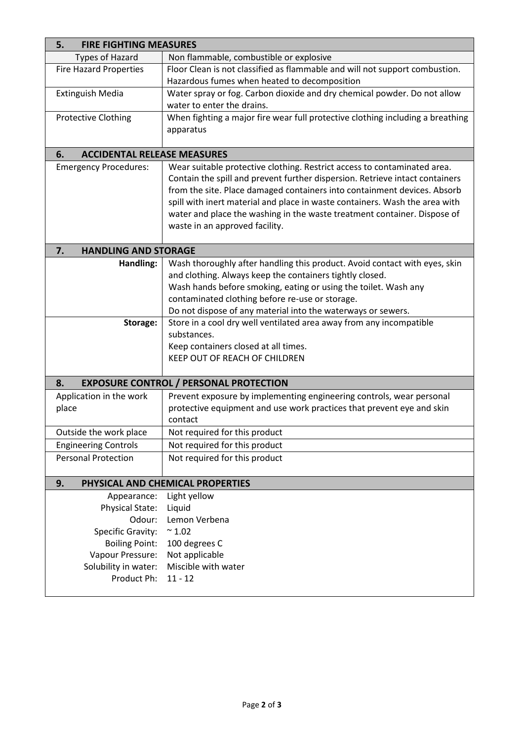| <b>FIRE FIGHTING MEASURES</b><br>5.      |                                                                                |  |  |  |
|------------------------------------------|--------------------------------------------------------------------------------|--|--|--|
| <b>Types of Hazard</b>                   | Non flammable, combustible or explosive                                        |  |  |  |
| <b>Fire Hazard Properties</b>            | Floor Clean is not classified as flammable and will not support combustion.    |  |  |  |
|                                          | Hazardous fumes when heated to decomposition                                   |  |  |  |
| Extinguish Media                         | Water spray or fog. Carbon dioxide and dry chemical powder. Do not allow       |  |  |  |
|                                          | water to enter the drains.                                                     |  |  |  |
| <b>Protective Clothing</b>               | When fighting a major fire wear full protective clothing including a breathing |  |  |  |
|                                          | apparatus                                                                      |  |  |  |
|                                          |                                                                                |  |  |  |
| <b>ACCIDENTAL RELEASE MEASURES</b><br>6. |                                                                                |  |  |  |
| <b>Emergency Procedures:</b>             | Wear suitable protective clothing. Restrict access to contaminated area.       |  |  |  |
|                                          | Contain the spill and prevent further dispersion. Retrieve intact containers   |  |  |  |
|                                          | from the site. Place damaged containers into containment devices. Absorb       |  |  |  |
|                                          | spill with inert material and place in waste containers. Wash the area with    |  |  |  |
|                                          | water and place the washing in the waste treatment container. Dispose of       |  |  |  |
|                                          | waste in an approved facility.                                                 |  |  |  |
|                                          |                                                                                |  |  |  |
| <b>HANDLING AND STORAGE</b><br>7.        |                                                                                |  |  |  |
| Handling:                                | Wash thoroughly after handling this product. Avoid contact with eyes, skin     |  |  |  |
|                                          | and clothing. Always keep the containers tightly closed.                       |  |  |  |
|                                          | Wash hands before smoking, eating or using the toilet. Wash any                |  |  |  |
|                                          | contaminated clothing before re-use or storage.                                |  |  |  |
|                                          | Do not dispose of any material into the waterways or sewers.                   |  |  |  |
| Storage:                                 | Store in a cool dry well ventilated area away from any incompatible            |  |  |  |
|                                          | substances.                                                                    |  |  |  |
|                                          | Keep containers closed at all times.                                           |  |  |  |
|                                          | KEEP OUT OF REACH OF CHILDREN                                                  |  |  |  |
|                                          |                                                                                |  |  |  |
| 8.                                       | <b>EXPOSURE CONTROL / PERSONAL PROTECTION</b>                                  |  |  |  |
| Application in the work                  | Prevent exposure by implementing engineering controls, wear personal           |  |  |  |
| place                                    | protective equipment and use work practices that prevent eye and skin          |  |  |  |
|                                          | contact                                                                        |  |  |  |
| Outside the work place                   | Not required for this product                                                  |  |  |  |
| <b>Engineering Controls</b>              | Not required for this product                                                  |  |  |  |
| <b>Personal Protection</b>               | Not required for this product                                                  |  |  |  |
|                                          |                                                                                |  |  |  |
| 9.                                       | PHYSICAL AND CHEMICAL PROPERTIES                                               |  |  |  |
| Appearance:                              | Light yellow                                                                   |  |  |  |
| Physical State:                          | Liquid                                                                         |  |  |  |
| Odour:                                   | Lemon Verbena                                                                  |  |  |  |
| <b>Specific Gravity:</b>                 | $\sim 1.02$                                                                    |  |  |  |
| <b>Boiling Point:</b>                    | 100 degrees C                                                                  |  |  |  |
| Vapour Pressure:                         | Not applicable                                                                 |  |  |  |
| Solubility in water:                     | Miscible with water                                                            |  |  |  |
| Product Ph:                              | $11 - 12$                                                                      |  |  |  |
|                                          |                                                                                |  |  |  |